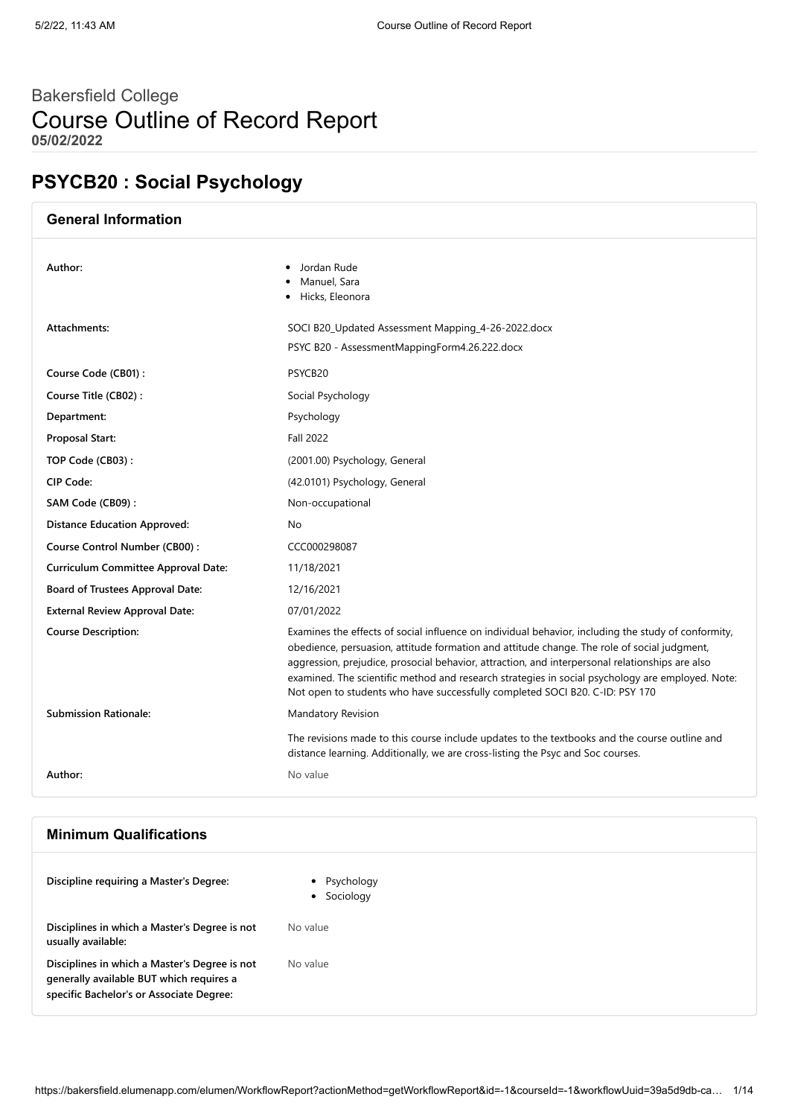# Bakersfield College Course Outline of Record Report **05/02/2022**

# **PSYCB20 : Social Psychology**

| <b>General Information</b>                 |                                                                                                                                                                                                                                                                                                                                                                                                                                                                                           |
|--------------------------------------------|-------------------------------------------------------------------------------------------------------------------------------------------------------------------------------------------------------------------------------------------------------------------------------------------------------------------------------------------------------------------------------------------------------------------------------------------------------------------------------------------|
| Author:                                    | • Jordan Rude<br>Manuel, Sara<br>Hicks, Eleonora                                                                                                                                                                                                                                                                                                                                                                                                                                          |
| Attachments:                               | SOCI B20_Updated Assessment Mapping_4-26-2022.docx<br>PSYC B20 - AssessmentMappingForm4.26.222.docx                                                                                                                                                                                                                                                                                                                                                                                       |
| Course Code (CB01):                        | PSYCB20                                                                                                                                                                                                                                                                                                                                                                                                                                                                                   |
| Course Title (CB02):                       | Social Psychology                                                                                                                                                                                                                                                                                                                                                                                                                                                                         |
| Department:                                | Psychology                                                                                                                                                                                                                                                                                                                                                                                                                                                                                |
| <b>Proposal Start:</b>                     | <b>Fall 2022</b>                                                                                                                                                                                                                                                                                                                                                                                                                                                                          |
| TOP Code (CB03):                           | (2001.00) Psychology, General                                                                                                                                                                                                                                                                                                                                                                                                                                                             |
| CIP Code:                                  | (42.0101) Psychology, General                                                                                                                                                                                                                                                                                                                                                                                                                                                             |
| SAM Code (CB09):                           | Non-occupational                                                                                                                                                                                                                                                                                                                                                                                                                                                                          |
| <b>Distance Education Approved:</b>        | No.                                                                                                                                                                                                                                                                                                                                                                                                                                                                                       |
| Course Control Number (CB00):              | CCC000298087                                                                                                                                                                                                                                                                                                                                                                                                                                                                              |
| <b>Curriculum Committee Approval Date:</b> | 11/18/2021                                                                                                                                                                                                                                                                                                                                                                                                                                                                                |
| <b>Board of Trustees Approval Date:</b>    | 12/16/2021                                                                                                                                                                                                                                                                                                                                                                                                                                                                                |
| <b>External Review Approval Date:</b>      | 07/01/2022                                                                                                                                                                                                                                                                                                                                                                                                                                                                                |
| <b>Course Description:</b>                 | Examines the effects of social influence on individual behavior, including the study of conformity,<br>obedience, persuasion, attitude formation and attitude change. The role of social judgment,<br>aggression, prejudice, prosocial behavior, attraction, and interpersonal relationships are also<br>examined. The scientific method and research strategies in social psychology are employed. Note:<br>Not open to students who have successfully completed SOCI B20. C-ID: PSY 170 |
| <b>Submission Rationale:</b>               | <b>Mandatory Revision</b>                                                                                                                                                                                                                                                                                                                                                                                                                                                                 |
|                                            | The revisions made to this course include updates to the textbooks and the course outline and<br>distance learning. Additionally, we are cross-listing the Psyc and Soc courses.                                                                                                                                                                                                                                                                                                          |
| Author:                                    | No value                                                                                                                                                                                                                                                                                                                                                                                                                                                                                  |
|                                            |                                                                                                                                                                                                                                                                                                                                                                                                                                                                                           |

# **Minimum Qualifications**

| Discipline requiring a Master's Degree:                                                                                               | • Psychology<br>• Sociology |
|---------------------------------------------------------------------------------------------------------------------------------------|-----------------------------|
| Disciplines in which a Master's Degree is not<br>usually available:                                                                   | No value                    |
| Disciplines in which a Master's Degree is not<br>generally available BUT which requires a<br>specific Bachelor's or Associate Degree: | No value                    |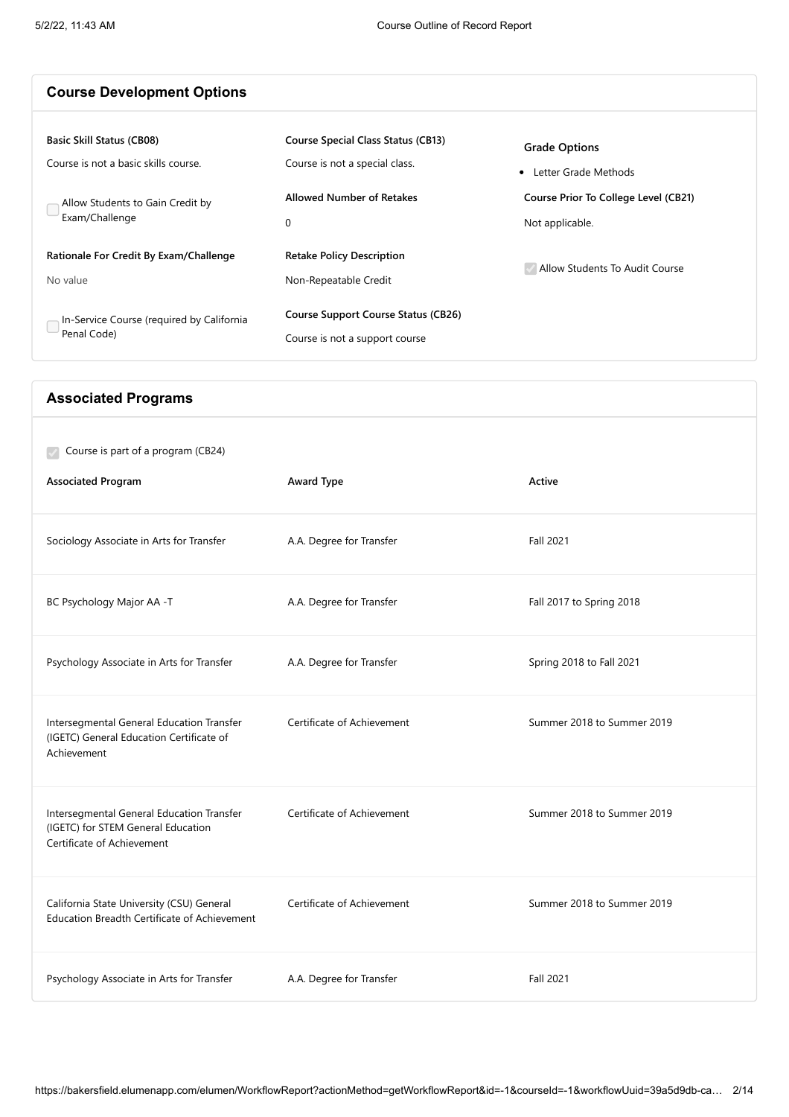Intersegmental General Education Transfer (IGETC) General Education Certificate of

Intersegmental General Education Transfer (IGETC) for STEM General Education

California State University (CSU) General Education Breadth Certificate of Achievement

Certificate of Achievement

Achievement

| <b>Course Development Options</b>                                                                                              |                                                                                                                      |                                                                                                           |
|--------------------------------------------------------------------------------------------------------------------------------|----------------------------------------------------------------------------------------------------------------------|-----------------------------------------------------------------------------------------------------------|
| <b>Basic Skill Status (CB08)</b><br>Course is not a basic skills course.<br>Allow Students to Gain Credit by<br>Exam/Challenge | <b>Course Special Class Status (CB13)</b><br>Course is not a special class.<br><b>Allowed Number of Retakes</b><br>0 | <b>Grade Options</b><br>• Letter Grade Methods<br>Course Prior To College Level (CB21)<br>Not applicable. |
| Rationale For Credit By Exam/Challenge<br>No value<br>In-Service Course (required by California                                | <b>Retake Policy Description</b><br>Non-Repeatable Credit<br><b>Course Support Course Status (CB26)</b>              | Allow Students To Audit Course                                                                            |
| Penal Code)<br><b>Associated Programs</b>                                                                                      | Course is not a support course                                                                                       |                                                                                                           |
| Course is part of a program (CB24)<br><b>Associated Program</b>                                                                | Award Type                                                                                                           | Active                                                                                                    |
| Sociology Associate in Arts for Transfer                                                                                       | A.A. Degree for Transfer                                                                                             | Fall 2021                                                                                                 |
| BC Psychology Major AA -T                                                                                                      | A.A. Degree for Transfer                                                                                             | Fall 2017 to Spring 2018                                                                                  |

Psychology Associate in Arts for Transfer A.A. Degree for Transfer Spring 2018 to Fall 2021

Psychology Associate in Arts for Transfer A.A. Degree for Transfer Fall 2021

Certificate of Achievement Summer 2018 to Summer 2019

Certificate of Achievement Summer 2018 to Summer 2019

Certificate of Achievement Summer 2018 to Summer 2019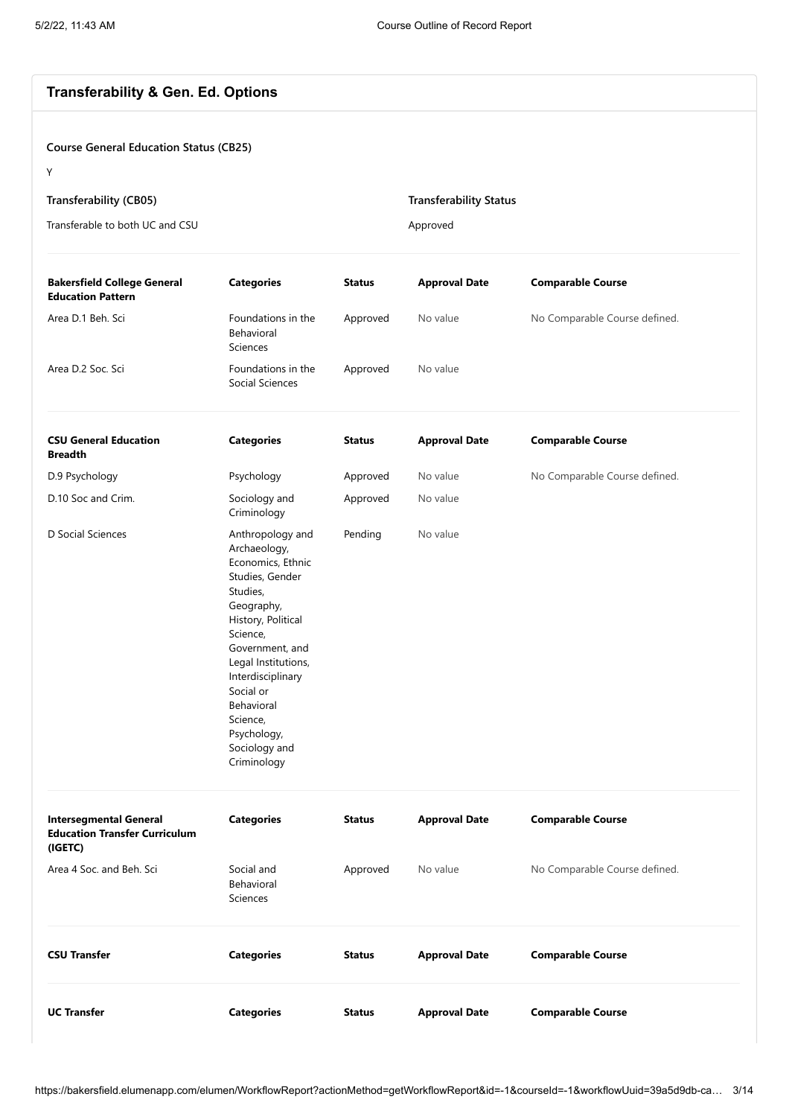# **Transferability & Gen. Ed. Options**

# **Course General Education Status (CB25)**

Y

| Transferability (CB05)          | <b>Transferability Status</b> |
|---------------------------------|-------------------------------|
| Transferable to both UC and CSU | Approved                      |

| <b>Bakersfield College General</b><br><b>Education Pattern</b>                   | <b>Categories</b>                                                                                                                                                                                                                                                                         | <b>Status</b> | <b>Approval Date</b> | <b>Comparable Course</b>      |
|----------------------------------------------------------------------------------|-------------------------------------------------------------------------------------------------------------------------------------------------------------------------------------------------------------------------------------------------------------------------------------------|---------------|----------------------|-------------------------------|
| Area D.1 Beh. Sci                                                                | Foundations in the<br>Behavioral<br>Sciences                                                                                                                                                                                                                                              | Approved      | No value             | No Comparable Course defined. |
| Area D.2 Soc. Sci                                                                | Foundations in the<br>Social Sciences                                                                                                                                                                                                                                                     | Approved      | No value             |                               |
| <b>CSU General Education</b><br><b>Breadth</b>                                   | <b>Categories</b>                                                                                                                                                                                                                                                                         | <b>Status</b> | <b>Approval Date</b> | <b>Comparable Course</b>      |
| D.9 Psychology                                                                   | Psychology                                                                                                                                                                                                                                                                                | Approved      | No value             | No Comparable Course defined. |
| D.10 Soc and Crim.                                                               | Sociology and<br>Criminology                                                                                                                                                                                                                                                              | Approved      | No value             |                               |
| D Social Sciences                                                                | Anthropology and<br>Archaeology,<br>Economics, Ethnic<br>Studies, Gender<br>Studies,<br>Geography,<br>History, Political<br>Science,<br>Government, and<br>Legal Institutions,<br>Interdisciplinary<br>Social or<br>Behavioral<br>Science,<br>Psychology,<br>Sociology and<br>Criminology | Pending       | No value             |                               |
| <b>Intersegmental General</b><br><b>Education Transfer Curriculum</b><br>(IGETC) | <b>Categories</b>                                                                                                                                                                                                                                                                         | <b>Status</b> | <b>Approval Date</b> | <b>Comparable Course</b>      |
| Area 4 Soc. and Beh. Sci                                                         | Social and<br>Behavioral<br>Sciences                                                                                                                                                                                                                                                      | Approved      | No value             | No Comparable Course defined. |
| <b>CSU Transfer</b>                                                              | <b>Categories</b>                                                                                                                                                                                                                                                                         | <b>Status</b> | <b>Approval Date</b> | <b>Comparable Course</b>      |
| <b>UC Transfer</b>                                                               | <b>Categories</b>                                                                                                                                                                                                                                                                         | <b>Status</b> | <b>Approval Date</b> | <b>Comparable Course</b>      |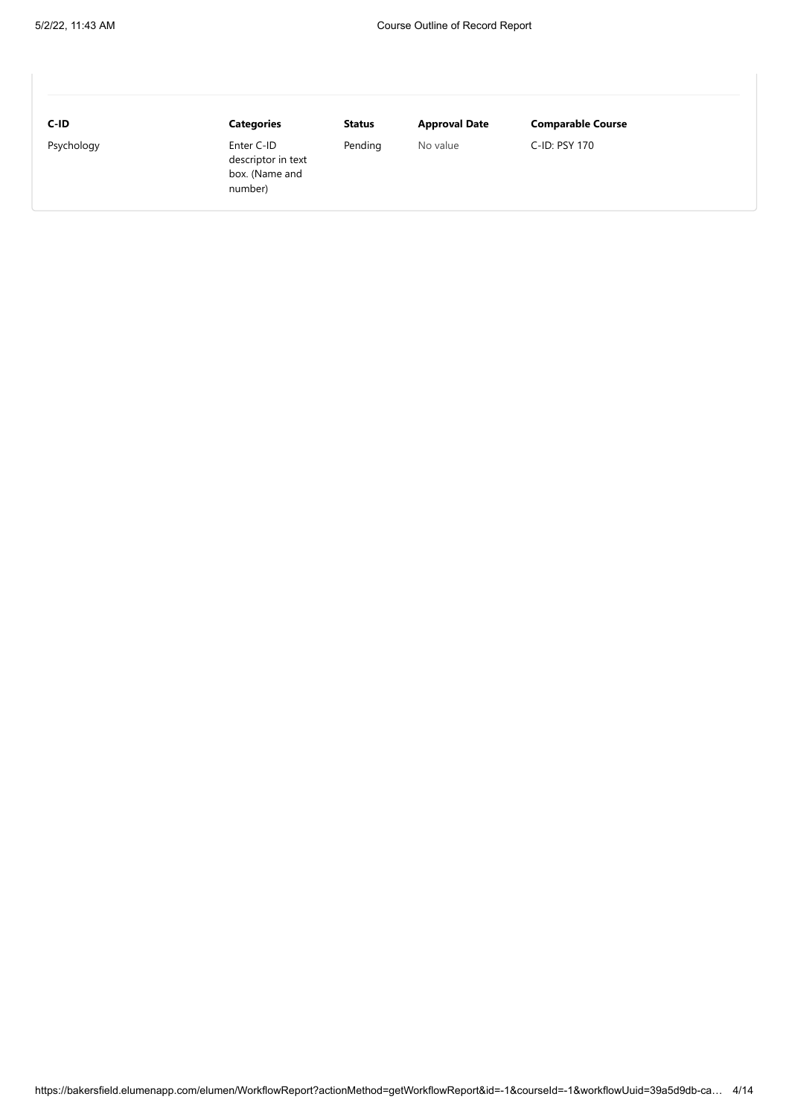| C-ID       | <b>Categories</b>                                             | Status  | <b>Approval Date</b> | <b>Comparable Course</b> |
|------------|---------------------------------------------------------------|---------|----------------------|--------------------------|
| Psychology | Enter C-ID<br>descriptor in text<br>box. (Name and<br>number) | Pending | No value             | C-ID: PSY 170            |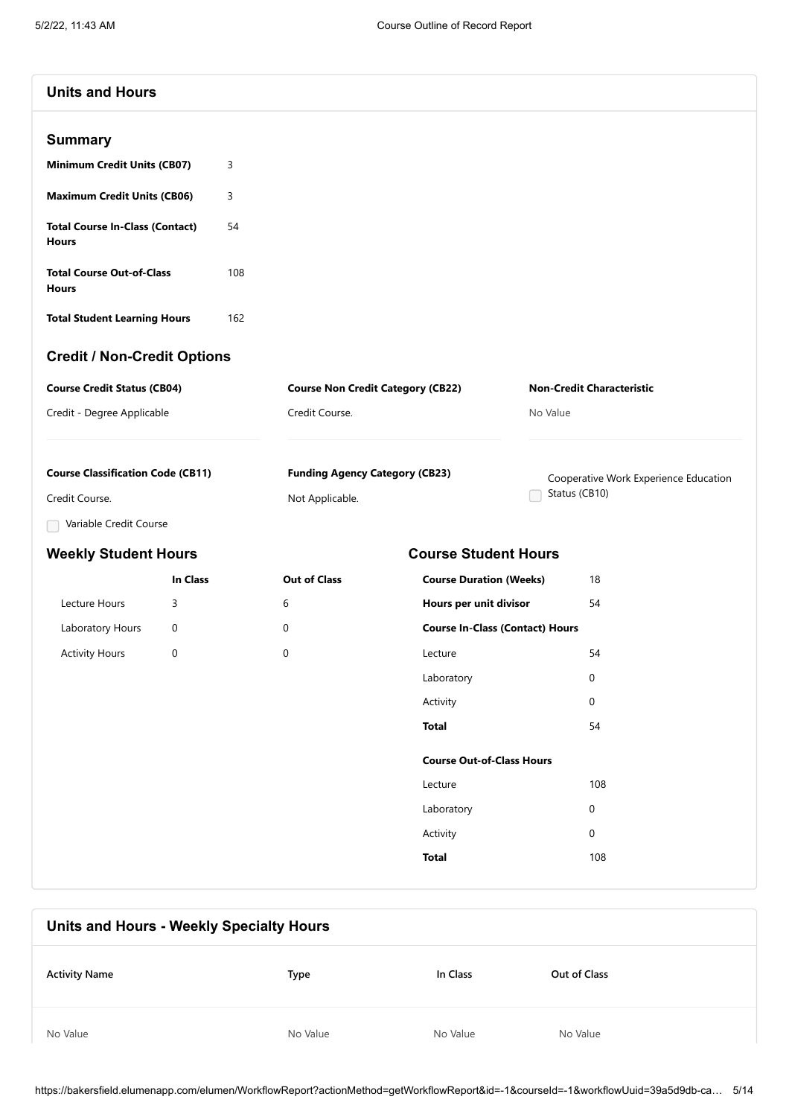| <b>Units and Hours</b> |  |
|------------------------|--|
|------------------------|--|

| <b>Minimum Credit Units (CB07)</b>              | 3   |
|-------------------------------------------------|-----|
| <b>Maximum Credit Units (CB06)</b>              | 3   |
| <b>Total Course In-Class (Contact)</b><br>Hours | 54  |
| <b>Total Course Out-of-Class</b><br>Hours       | 108 |

**Total Student Learning Hours** 162

# **Credit / Non-Credit Options**

| <b>Course Credit Status (CB04)</b> | <b>Course Non Credit Category (CB22)</b> | <b>Non-Credit Characteristic</b> |  |
|------------------------------------|------------------------------------------|----------------------------------|--|
| Credit - Degree Applicable         | Credit Course.                           | No Value                         |  |
|                                    |                                          |                                  |  |

| <b>Course Classification Code (CB11)</b> | <b>Funding Agency Category (CB23)</b> | Cooperative Work Experience Education |
|------------------------------------------|---------------------------------------|---------------------------------------|
| Credit Course.                           | Not Applicable.                       | Status (CB10)                         |

**In Class Out of Class**

Variable Credit Course

# **Weekly Student Hours Course Student Hours**

|                       | In Class |   |
|-----------------------|----------|---|
| Lecture Hours         | 3        | 6 |
| Laboratory Hours      | O        | 0 |
| <b>Activity Hours</b> | O        |   |

| Hours per unit divisor                 | 54  |
|----------------------------------------|-----|
| <b>Course In-Class (Contact) Hours</b> |     |
| Lecture                                | 54  |
| Laboratory                             | U   |
| Activity                               | O   |
| Total                                  | 54  |
| <b>Course Out-of-Class Hours</b>       |     |
| l ecture                               | 108 |
| Laboratory                             | U   |
| Activity                               | 0   |
| <b>Total</b>                           | 108 |

**Course Duration (Weeks)** 18

| Units and Hours - Weekly Specialty Hours |          |          |              |
|------------------------------------------|----------|----------|--------------|
| <b>Activity Name</b>                     | Type     | In Class | Out of Class |
| No Value                                 | No Value | No Value | No Value     |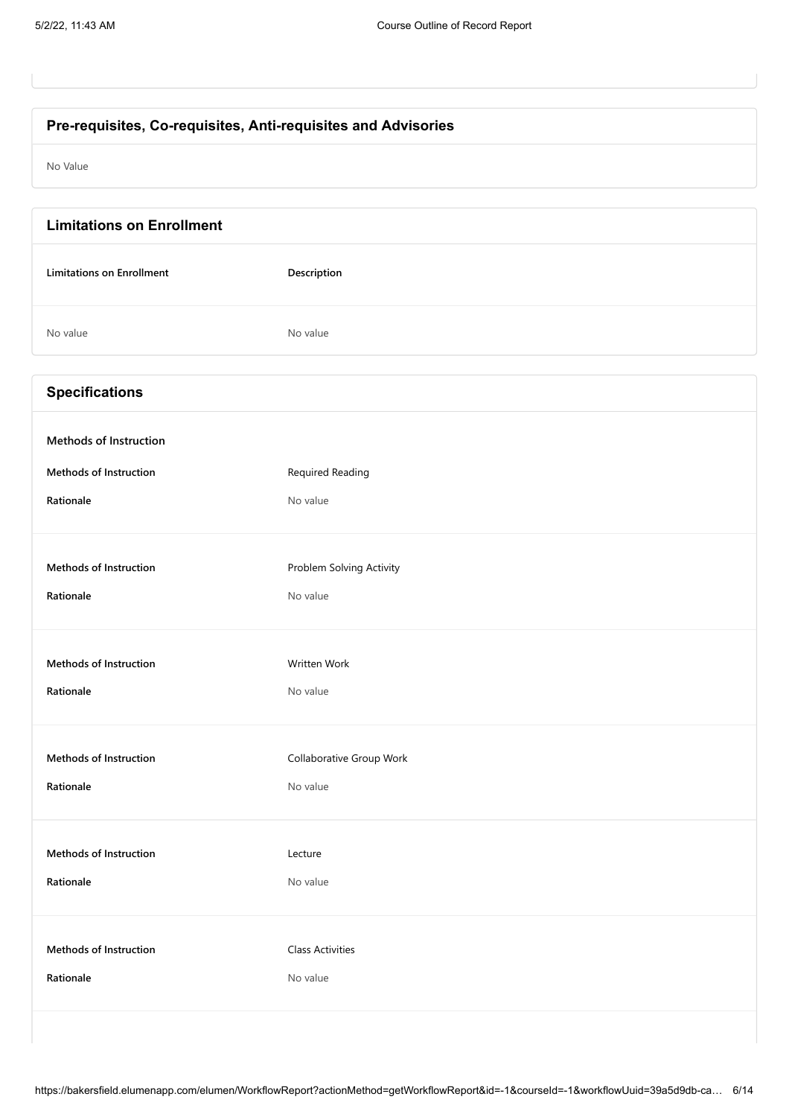# **Pre-requisites, Co-requisites, Anti-requisites and Advisories**

No Value

| <b>Limitations on Enrollment</b> |                          |
|----------------------------------|--------------------------|
| <b>Limitations on Enrollment</b> | Description              |
| No value                         | No value                 |
| <b>Specifications</b>            |                          |
| Methods of Instruction           |                          |
| <b>Methods of Instruction</b>    | <b>Required Reading</b>  |
| Rationale                        | No value                 |
| <b>Methods of Instruction</b>    | Problem Solving Activity |
| Rationale                        | No value                 |
| <b>Methods of Instruction</b>    | Written Work             |
| Rationale                        | No value                 |
| Methods of Instruction           | Collaborative Group Work |
| Rationale                        | No value                 |
| Methods of Instruction           | Lecture                  |
| Rationale                        | No value                 |
| Methods of Instruction           | <b>Class Activities</b>  |
| Rationale                        | No value                 |
|                                  |                          |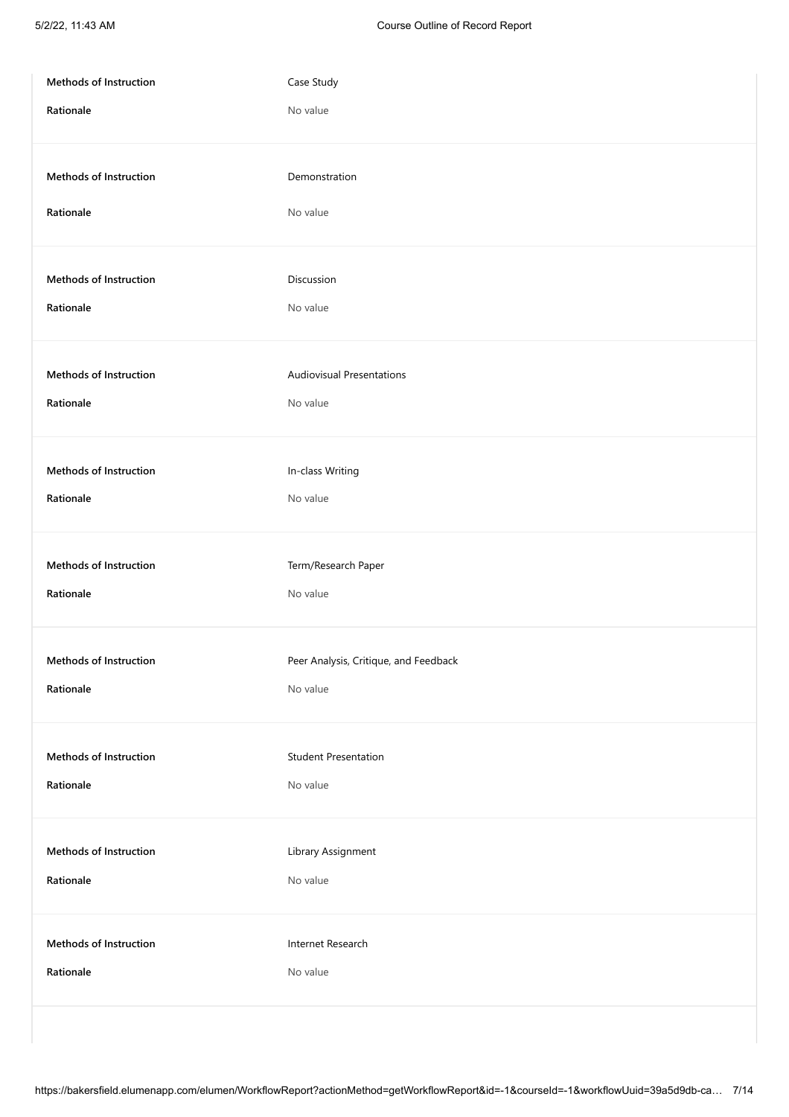| Methods of Instruction | Case Study                            |
|------------------------|---------------------------------------|
| Rationale              | No value                              |
| Methods of Instruction | Demonstration                         |
| Rationale              | No value                              |
| Methods of Instruction | Discussion                            |
| Rationale              | No value                              |
| Methods of Instruction | <b>Audiovisual Presentations</b>      |
| Rationale              | No value                              |
| Methods of Instruction | In-class Writing                      |
| Rationale              | No value                              |
| Methods of Instruction | Term/Research Paper                   |
| Rationale              | No value                              |
| Methods of Instruction | Peer Analysis, Critique, and Feedback |
| Rationale              | No value                              |
| Methods of Instruction | <b>Student Presentation</b>           |
| Rationale              | No value                              |
| Methods of Instruction | Library Assignment                    |
| Rationale              | No value                              |
| Methods of Instruction | Internet Research                     |
| Rationale              | No value                              |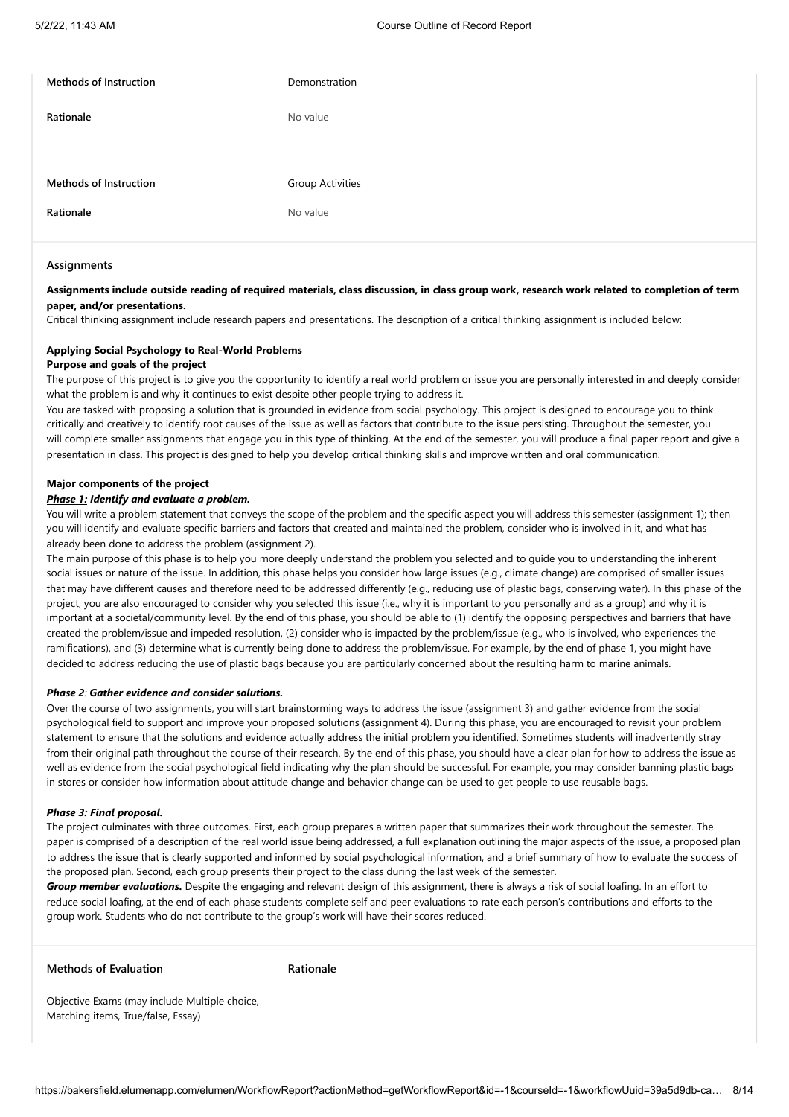| <b>Methods of Instruction</b>              | Demonstration                       |
|--------------------------------------------|-------------------------------------|
| Rationale                                  | No value                            |
| <b>Methods of Instruction</b><br>Rationale | <b>Group Activities</b><br>No value |
|                                            |                                     |

#### **Assignments**

#### **Assignments include outside reading of required materials, class discussion, in class group work, research work related to completion of term paper, and/or presentations.**

Critical thinking assignment include research papers and presentations. The description of a critical thinking assignment is included below:

# **Applying Social Psychology to Real-World Problems**

#### **Purpose and goals of the project**

The purpose of this project is to give you the opportunity to identify a real world problem or issue you are personally interested in and deeply consider what the problem is and why it continues to exist despite other people trying to address it.

You are tasked with proposing a solution that is grounded in evidence from social psychology. This project is designed to encourage you to think critically and creatively to identify root causes of the issue as well as factors that contribute to the issue persisting. Throughout the semester, you will complete smaller assignments that engage you in this type of thinking. At the end of the semester, you will produce a final paper report and give a presentation in class. This project is designed to help you develop critical thinking skills and improve written and oral communication.

#### **Major components of the project**

#### *Phase 1: Identify and evaluate a problem.*

You will write a problem statement that conveys the scope of the problem and the specific aspect you will address this semester (assignment 1); then you will identify and evaluate specific barriers and factors that created and maintained the problem, consider who is involved in it, and what has already been done to address the problem (assignment 2).

The main purpose of this phase is to help you more deeply understand the problem you selected and to guide you to understanding the inherent social issues or nature of the issue. In addition, this phase helps you consider how large issues (e.g., climate change) are comprised of smaller issues that may have different causes and therefore need to be addressed differently (e.g., reducing use of plastic bags, conserving water). In this phase of the project, you are also encouraged to consider why you selected this issue (i.e., why it is important to you personally and as a group) and why it is important at a societal/community level. By the end of this phase, you should be able to (1) identify the opposing perspectives and barriers that have created the problem/issue and impeded resolution, (2) consider who is impacted by the problem/issue (e.g., who is involved, who experiences the ramifications), and (3) determine what is currently being done to address the problem/issue. For example, by the end of phase 1, you might have decided to address reducing the use of plastic bags because you are particularly concerned about the resulting harm to marine animals.

#### *Phase 2: Gather evidence and consider solutions.*

Over the course of two assignments, you will start brainstorming ways to address the issue (assignment 3) and gather evidence from the social psychological field to support and improve your proposed solutions (assignment 4). During this phase, you are encouraged to revisit your problem statement to ensure that the solutions and evidence actually address the initial problem you identified. Sometimes students will inadvertently stray from their original path throughout the course of their research. By the end of this phase, you should have a clear plan for how to address the issue as well as evidence from the social psychological field indicating why the plan should be successful. For example, you may consider banning plastic bags in stores or consider how information about attitude change and behavior change can be used to get people to use reusable bags.

#### *Phase 3: Final proposal.*

The project culminates with three outcomes. First, each group prepares a written paper that summarizes their work throughout the semester. The paper is comprised of a description of the real world issue being addressed, a full explanation outlining the major aspects of the issue, a proposed plan to address the issue that is clearly supported and informed by social psychological information, and a brief summary of how to evaluate the success of the proposed plan. Second, each group presents their project to the class during the last week of the semester.

*Group member evaluations.* Despite the engaging and relevant design of this assignment, there is always a risk of social loafing. In an effort to reduce social loafing, at the end of each phase students complete self and peer evaluations to rate each person's contributions and efforts to the group work. Students who do not contribute to the group's work will have their scores reduced.

### **Methods of Evaluation Rationale**

Objective Exams (may include Multiple choice, Matching items, True/false, Essay)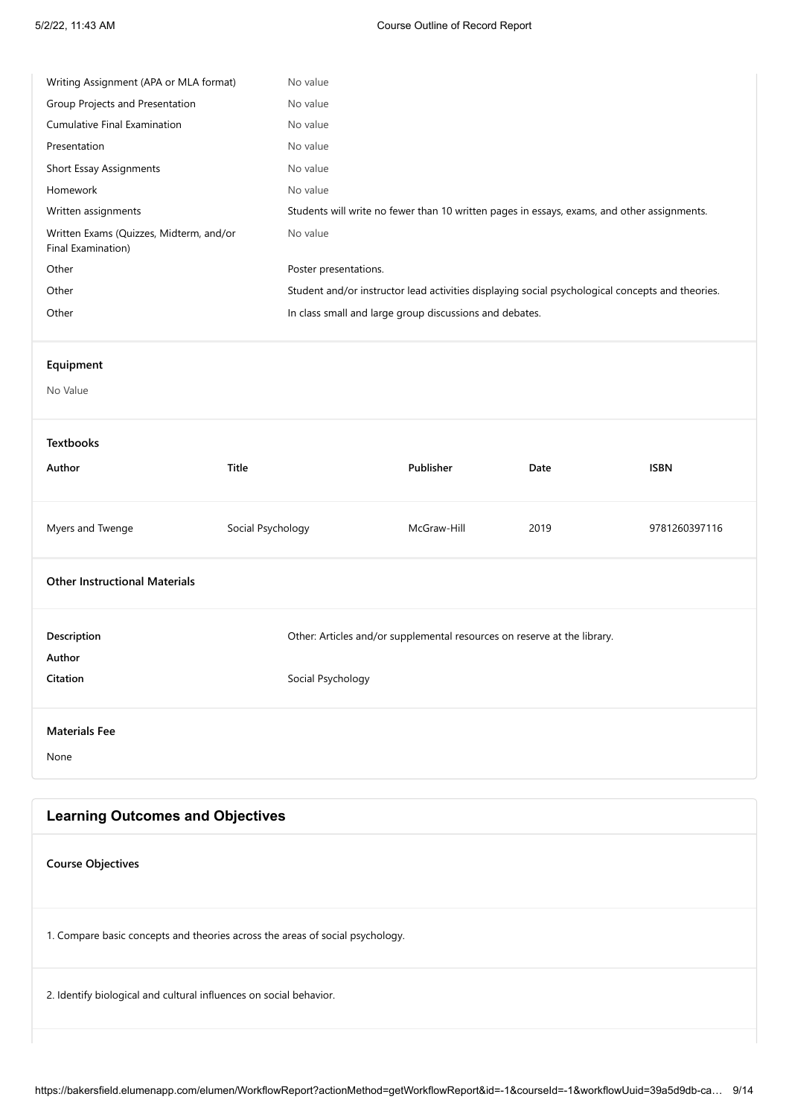| Writing Assignment (APA or MLA format)                                        |                   | No value              |                                                                          |                                                                                                  |               |
|-------------------------------------------------------------------------------|-------------------|-----------------------|--------------------------------------------------------------------------|--------------------------------------------------------------------------------------------------|---------------|
| Group Projects and Presentation                                               |                   | No value              |                                                                          |                                                                                                  |               |
| Cumulative Final Examination                                                  |                   | No value              |                                                                          |                                                                                                  |               |
| Presentation                                                                  |                   | No value              |                                                                          |                                                                                                  |               |
| <b>Short Essay Assignments</b>                                                |                   | No value              |                                                                          |                                                                                                  |               |
| Homework                                                                      |                   | No value              |                                                                          |                                                                                                  |               |
| Written assignments                                                           |                   |                       |                                                                          | Students will write no fewer than 10 written pages in essays, exams, and other assignments.      |               |
| Written Exams (Quizzes, Midterm, and/or<br>Final Examination)                 |                   | No value              |                                                                          |                                                                                                  |               |
| Other                                                                         |                   | Poster presentations. |                                                                          |                                                                                                  |               |
| Other                                                                         |                   |                       |                                                                          | Student and/or instructor lead activities displaying social psychological concepts and theories. |               |
| Other                                                                         |                   |                       | In class small and large group discussions and debates.                  |                                                                                                  |               |
|                                                                               |                   |                       |                                                                          |                                                                                                  |               |
| Equipment                                                                     |                   |                       |                                                                          |                                                                                                  |               |
| No Value                                                                      |                   |                       |                                                                          |                                                                                                  |               |
|                                                                               |                   |                       |                                                                          |                                                                                                  |               |
| <b>Textbooks</b>                                                              |                   |                       |                                                                          |                                                                                                  |               |
| Author                                                                        | Title             |                       | Publisher                                                                | Date                                                                                             | <b>ISBN</b>   |
|                                                                               |                   |                       |                                                                          |                                                                                                  |               |
| Myers and Twenge                                                              | Social Psychology |                       | McGraw-Hill                                                              | 2019                                                                                             | 9781260397116 |
| <b>Other Instructional Materials</b>                                          |                   |                       |                                                                          |                                                                                                  |               |
| Description                                                                   |                   |                       | Other: Articles and/or supplemental resources on reserve at the library. |                                                                                                  |               |
| Author                                                                        |                   |                       |                                                                          |                                                                                                  |               |
| Citation                                                                      |                   | Social Psychology     |                                                                          |                                                                                                  |               |
|                                                                               |                   |                       |                                                                          |                                                                                                  |               |
| <b>Materials Fee</b>                                                          |                   |                       |                                                                          |                                                                                                  |               |
| None                                                                          |                   |                       |                                                                          |                                                                                                  |               |
|                                                                               |                   |                       |                                                                          |                                                                                                  |               |
|                                                                               |                   |                       |                                                                          |                                                                                                  |               |
| <b>Learning Outcomes and Objectives</b>                                       |                   |                       |                                                                          |                                                                                                  |               |
| <b>Course Objectives</b>                                                      |                   |                       |                                                                          |                                                                                                  |               |
| 1. Compare basic concepts and theories across the areas of social psychology. |                   |                       |                                                                          |                                                                                                  |               |

2. Identify biological and cultural influences on social behavior.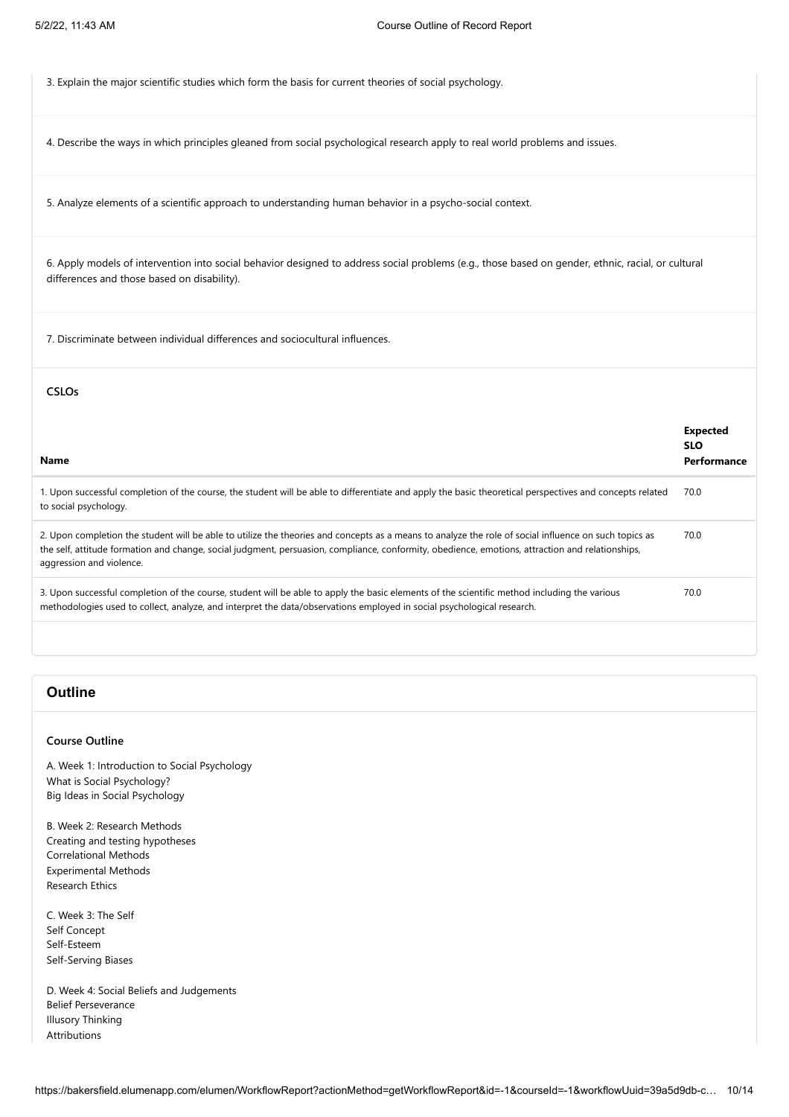3. Explain the major scientific studies which form the basis for current theories of social psychology.

4. Describe the ways in which principles gleaned from social psychological research apply to real world problems and issues.

5. Analyze elements of a scientific approach to understanding human behavior in a psycho-social context.

6. Apply models of intervention into social behavior designed to address social problems (e.g., those based on gender, ethnic, racial, or cultural differences and those based on disability).

7. Discriminate between individual differences and sociocultural influences.

#### **CSLOs**

| Name                                                                                                                                                                                                                                                                                                                                  | <b>Expected</b><br><b>SLO</b><br>Performance |
|---------------------------------------------------------------------------------------------------------------------------------------------------------------------------------------------------------------------------------------------------------------------------------------------------------------------------------------|----------------------------------------------|
| 1. Upon successful completion of the course, the student will be able to differentiate and apply the basic theoretical perspectives and concepts related<br>to social psychology.                                                                                                                                                     | 70.0                                         |
| 2. Upon completion the student will be able to utilize the theories and concepts as a means to analyze the role of social influence on such topics as<br>the self, attitude formation and change, social judgment, persuasion, compliance, conformity, obedience, emotions, attraction and relationships,<br>aggression and violence. | 70.0                                         |
| 3. Upon successful completion of the course, student will be able to apply the basic elements of the scientific method including the various<br>methodologies used to collect, analyze, and interpret the data/observations employed in social psychological research.                                                                | 70.0                                         |
|                                                                                                                                                                                                                                                                                                                                       |                                              |

# **Outline**

### **Course Outline**

A. Week 1: Introduction to Social Psychology What is Social Psychology? Big Ideas in Social Psychology

B. Week 2: Research Methods Creating and testing hypotheses Correlational Methods Experimental Methods Research Ethics

C. Week 3: The Self Self Concept Self-Esteem Self-Serving Biases

D. Week 4: Social Beliefs and Judgements Belief Perseverance Illusory Thinking Attributions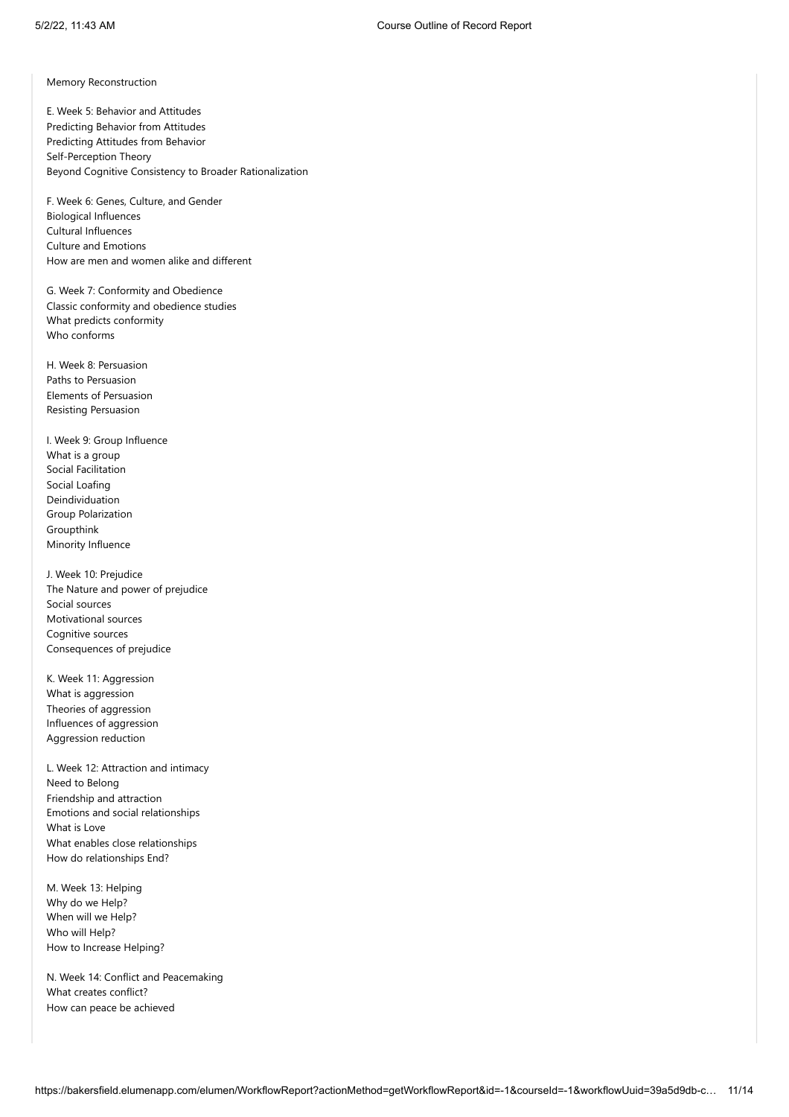Memory Reconstruction

E. Week 5: Behavior and Attitudes Predicting Behavior from Attitudes Predicting Attitudes from Behavior Self-Perception Theory Beyond Cognitive Consistency to Broader Rationalization

F. Week 6: Genes, Culture, and Gender Biological Influences Cultural Influences Culture and Emotions How are men and women alike and different

G. Week 7: Conformity and Obedience Classic conformity and obedience studies What predicts conformity Who conforms

H. Week 8: Persuasion Paths to Persuasion Elements of Persuasion Resisting Persuasion

I. Week 9: Group Influence What is a group Social Facilitation Social Loafing Deindividuation Group Polarization Groupthink Minority Influence

J. Week 10: Prejudice The Nature and power of prejudice Social sources Motivational sources Cognitive sources Consequences of prejudice

K. Week 11: Aggression What is aggression Theories of aggression Influences of aggression Aggression reduction

L. Week 12: Attraction and intimacy Need to Belong Friendship and attraction Emotions and social relationships What is Love What enables close relationships How do relationships End?

M. Week 13: Helping Why do we Help? When will we Help? Who will Help? How to Increase Helping?

N. Week 14: Conflict and Peacemaking What creates conflict? How can peace be achieved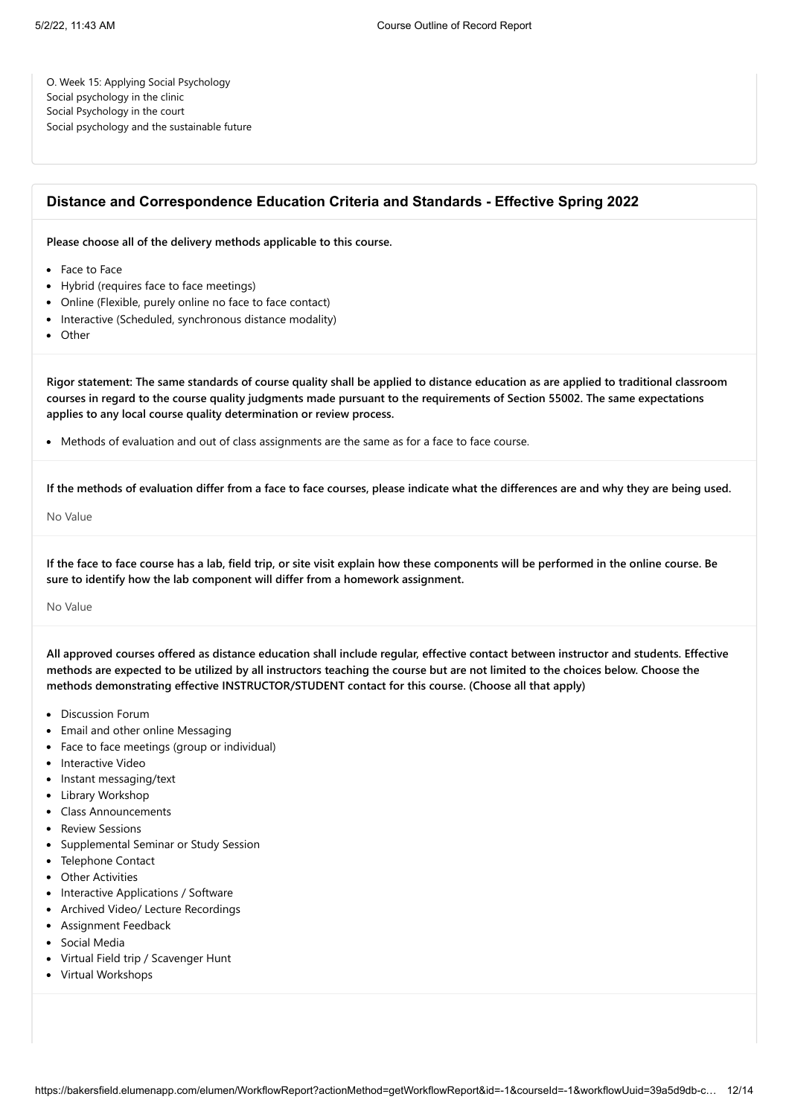O. Week 15: Applying Social Psychology Social psychology in the clinic Social Psychology in the court Social psychology and the sustainable future

# **Distance and Correspondence Education Criteria and Standards - Effective Spring 2022**

**Please choose all of the delivery methods applicable to this course.**

- Face to Face
- Hybrid (requires face to face meetings)
- Online (Flexible, purely online no face to face contact)
- Interactive (Scheduled, synchronous distance modality)
- Other

**Rigor statement: The same standards of course quality shall be applied to distance education as are applied to traditional classroom courses in regard to the course quality judgments made pursuant to the requirements of Section 55002. The same expectations applies to any local course quality determination or review process.**

• Methods of evaluation and out of class assignments are the same as for a face to face course.

**If the methods of evaluation differ from a face to face courses, please indicate what the differences are and why they are being used.**

No Value

**If the face to face course has a lab, field trip, or site visit explain how these components will be performed in the online course. Be sure to identify how the lab component will differ from a homework assignment.**

No Value

**All approved courses offered as distance education shall include regular, effective contact between instructor and students. Effective methods are expected to be utilized by all instructors teaching the course but are not limited to the choices below. Choose the methods demonstrating effective INSTRUCTOR/STUDENT contact for this course. (Choose all that apply)**

- Discussion Forum
- Email and other online Messaging
- Face to face meetings (group or individual)
- Interactive Video
- Instant messaging/text
- Library Workshop
- Class Announcements
- Review Sessions
- Supplemental Seminar or Study Session
- Telephone Contact
- Other Activities
- Interactive Applications / Software
- Archived Video/ Lecture Recordings
- Assignment Feedback
- Social Media
- Virtual Field trip / Scavenger Hunt
- Virtual Workshops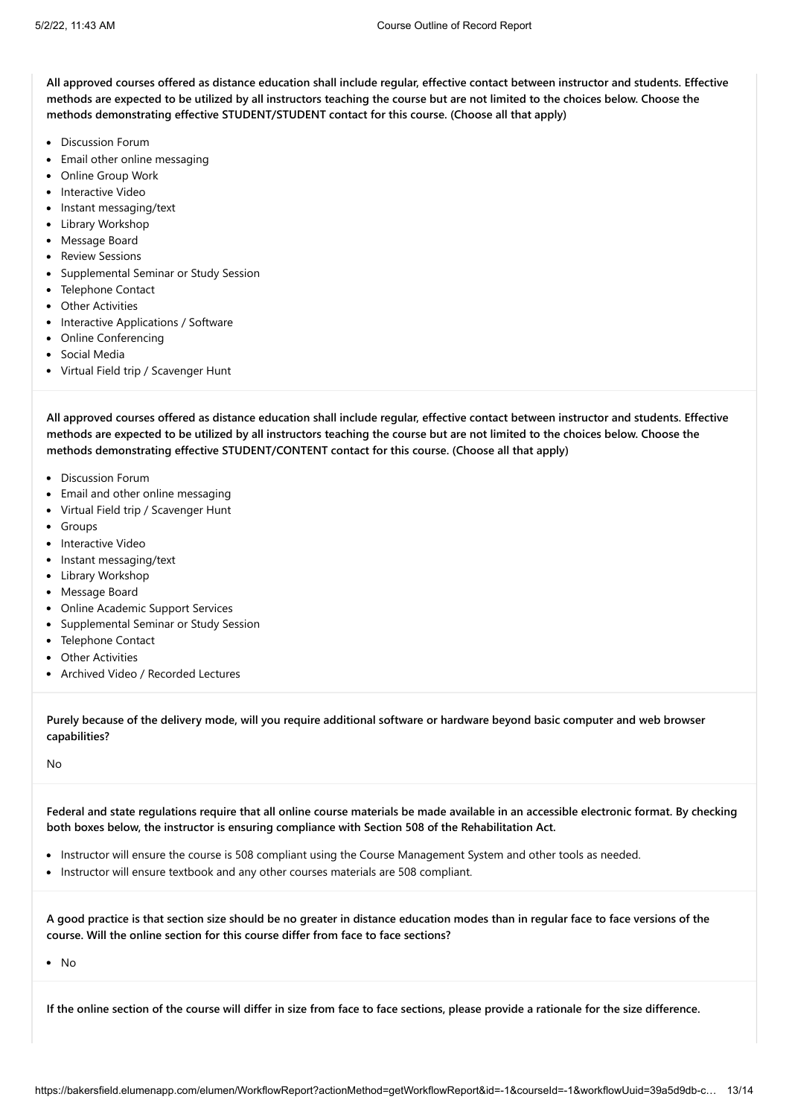**All approved courses offered as distance education shall include regular, effective contact between instructor and students. Effective methods are expected to be utilized by all instructors teaching the course but are not limited to the choices below. Choose the methods demonstrating effective STUDENT/STUDENT contact for this course. (Choose all that apply)**

- Discussion Forum
- Email other online messaging
- Online Group Work
- Interactive Video
- Instant messaging/text
- Library Workshop
- Message Board
- Review Sessions
- Supplemental Seminar or Study Session
- Telephone Contact
- Other Activities
- Interactive Applications / Software
- Online Conferencing
- Social Media
- Virtual Field trip / Scavenger Hunt

**All approved courses offered as distance education shall include regular, effective contact between instructor and students. Effective methods are expected to be utilized by all instructors teaching the course but are not limited to the choices below. Choose the methods demonstrating effective STUDENT/CONTENT contact for this course. (Choose all that apply)**

- Discussion Forum
- Email and other online messaging
- Virtual Field trip / Scavenger Hunt
- Groups
- Interactive Video
- Instant messaging/text
- Library Workshop
- Message Board
- Online Academic Support Services
- Supplemental Seminar or Study Session
- Telephone Contact
- Other Activities
- Archived Video / Recorded Lectures

**Purely because of the delivery mode, will you require additional software or hardware beyond basic computer and web browser capabilities?**

No

**Federal and state regulations require that all online course materials be made available in an accessible electronic format. By checking both boxes below, the instructor is ensuring compliance with Section 508 of the Rehabilitation Act.**

- Instructor will ensure the course is 508 compliant using the Course Management System and other tools as needed.
- Instructor will ensure textbook and any other courses materials are 508 compliant.

**A good practice is that section size should be no greater in distance education modes than in regular face to face versions of the course. Will the online section for this course differ from face to face sections?**

 $\bullet$  No

**If the online section of the course will differ in size from face to face sections, please provide a rationale for the size difference.**